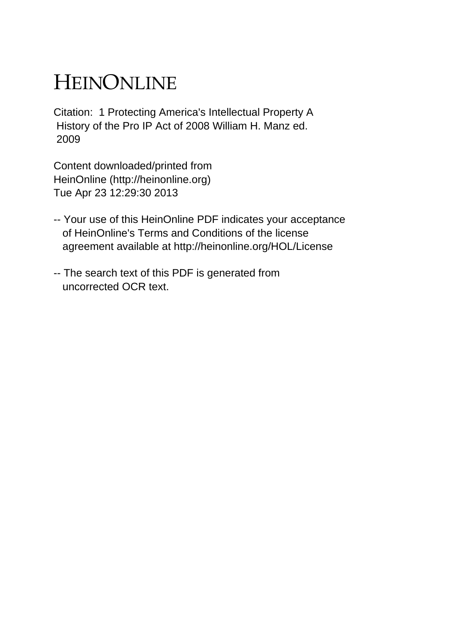# HEINONLINE

Citation: 1 Protecting America's Intellectual Property A History of the Pro IP Act of 2008 William H. Manz ed. 2009

Content downloaded/printed from HeinOnline (http://heinonline.org) Tue Apr 23 12:29:30 2013

- -- Your use of this HeinOnline PDF indicates your acceptance of HeinOnline's Terms and Conditions of the license agreement available at http://heinonline.org/HOL/License
- -- The search text of this PDF is generated from uncorrected OCR text.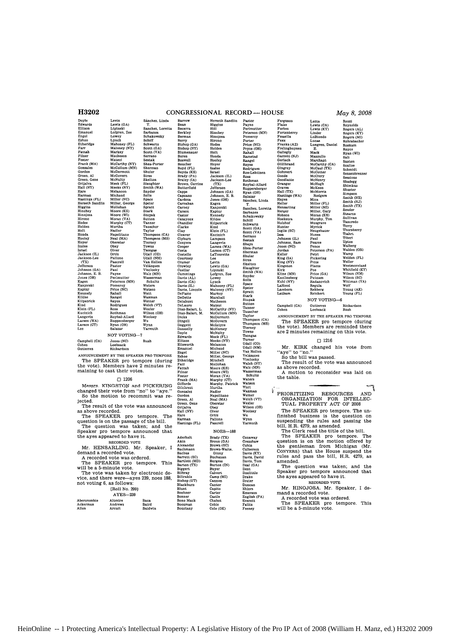**H3202 Extrict Constant Conformation** Constant Constant Constant Constant Constant Constant Constant Constant Constant Constant Constant Constant Constant Constant Constant Constant Constant Constant Constant Constant Co Noyle Levin Sánchez, Linda Harvow Hersel Paston Paston Perguasa Lewis (GA) The Parameter Particle Bear (GA) Terms (GA) The Permeter Particle Particle Particle Particle Particle Particle Particle Particle Particle Particle  $\begin{tabular}{l|c|c|c|c} \multicolumn{1}{c}{Puler} & Mecky & Mecky & Heilménance & Hecly & Maard & Galery & Mecky & Naard & Nacly & Naard \\ \hline Puler & Mackus & Seeraw & Seeraw & Beeraw & Boord & Raant & Saard & Gaerret (NJ) & Maardulo & Naald & Nacly & Naard & Nacly \\ \hline \multicolumn{1}{c}{Pvar} & Mecky & Seadk & Board & Hecly & Mecky & Ready & Heady & Heady & Heady & Heady & Heady & Heady & Heady \\ \hline \multicolumn{1}{c}{Pvar} & MeColw & Mecly & Mecly &$ **Herseth** Sandlin Miller, **George Speier Carnahan Kagen** T. Heller Miller (FL) **Stb(NJ)** Eiggins Mollohan Spract Carney Kanjorski Sanchez, Loretta Hensariing Milier (MI) Souder Hensariing Mollohan Spract Carney Kanjorski Sanchez, Loretta Hensariing Milier (MI) Souder States (1999)<br>Hinojosa Moore (W3) States Ca  $\begin{tabular}{llllll} \textbf{Holden} & Mortick & Tnescher & Cla. & Klen^2 & Scolv (GA) & Scolv (GA) & Scolv (TA) & Tnes pery \\ \hline Holen & Machler & Tasylor & Tasylor & Clay & Klen^2 (TA) & Scolv (TA) & Tnes perz \\ \hline Holen & Nsollet & Tasylor & Tenspon (CA) & Clexvr & Klen^2 (TA) & Scolv (TA) & Tnes & Nons \\ \hline Holen & Nsol (MA) & Thompeno (TA) & Clexvr & Koll (TA) & Soll (TA) & Soll (TA) & Soll (TA) & Soll (TA) & Soll (TA) & Soll (TA) & Soll (TA)$ Jones (OH) Perimutter Wassermann Davis (AL) Lowey Stoll Solls Knollenberg Putnam (Wison (SC)<br>Kangresid Perisson (MN) Schultz Davis (CA) Lynch Solls Knbl (NY) Radanovich Wittman (VA)<br>Kanjorski Pomeroy Watsen Davis Lincoln M Jackson (II, Ortiz Udali (Co) Costello La Chromer Lewis Calculates Killas (A) Delay (A) Pickering (A) Pickering (A) Pickering CA) Pickering CA) Counter Lewis Stupak Norget (A) Shares Weiner Lewis (A) Jackson Stupak Norget **Langevin** *Diaz-Balaty***, M. McCollum (MLV) Taylor <b>ANNOUNCEMENT BY THE SPEAKER PRO TEMPORE**<br>Woolsey Dicks McDermott Thompson (CA) The CDEAKED and tempore *(Aurine* Larsen **WA)** Ruppersberger Wu and Dingell McGovern Thompson (CA) The SPEAKER pro tempore (during particle of the Dingell McGovern Thompson (CA) The SPEAKER pro tempore (during<br>Larsen (CT) Ryan Warn Doggett McIntyre Therney **Bourge McNulty McNulty 1998**<br> **Doyle McNulty Towns are 2 minutes remaining on this vote.<br>
MCNU TVOTING--7 Edwards Meek (FL) Tsongas<br>
<br>
<b>Doyle Elisson Meek (FL) Turner**<br> **LOGISEARE SECT TO THE SECT THE SECT DESCRIPTION IN** Kiela (CA) Homes (Ne) Details (NC) The Hart (CO) The Hart (CA) The Loebsack Langen (WA) The Cohen Loebsack Cohen Bush and Details (NY) The Cohen CA) Rush Details (NY) The Cohen CA Bass (CA) The Cohen Loebsack Ells (CO) Det ENGOUNCEMENT BY THE SPEAKER PRO TEMPORE Saboo Miller (NC) van *nuise* 'aye'' to ''no.''<br>The SPEAKER pro tempore (during Esteridge Michaell Viscosky So the bill was passed.<br>The Text is passed. The bill and the vote was anno The SPEAKER pro tempore (during Etheridge Mitchell Visclosky the vote). Members have 2 minutes re- Farr Mollohan Walsh (NY) Interesunt of the vote). Members have 2 minutes re- Fattah Moore (KS) Walsh (NY) as above recorded.<br>The vote in the votes. The value of the value of the value  $\Box$  1206  $\Box$  1206  $\Box$  1206  $\Box$  1206  $\Box$  1206  $\Box$  1206  $\Box$  1206  $\Box$  1206  $\Box$  1206  $\Box$  1206  $\Box$  1206  $\Box$  1206  $\Box$  1206  $\Box$  1206  $\Box$  1206  $\Box$  1206  $\Box$  1206  $\Box$  1206  $\Box$  1206  $\Box$  1206  $\Box$  1206  $\Box$  1206 So the motion to recommit was re- Gordon Napolitano Wetiner jeSted. Green, A) Neal (MA) Wech (VT) ORGANIZATION FOR INTELLEC- Green, Gene Oberstar Wexler TUAL PROPERTY ACT OF **<sup>2008</sup>** The result of the vote was announced **Grijalva** Obey Wilson (OH) The SPEAKER pro tempore. The Hare Ortiz Wu finished business is the question or<br>question is on the passage of the bill. Hastings (PL) Pascrell Wynn suspending the rules and passing the The question was taken; and the distance results and the bill, H.R. 4279, as amended.<br>Speaker pro tempore announced that **NOES-188 The Clerk read the title of the bill**. The question was taken; and the Marings (FL) Fascel by Tarmuch that becomes a<br>peared to have it. Aderholt Brady (TX) Conaway The SPEAKER pro tempore announced that<br>the ayes appeared to have it. Monday (TX) Conaway The SPEA ECORDED VOTE Akin  $Broun(0A)$  Creashaw question is on the motion offered by<br>Mr. HENSARLING. Mr. Speaker, I Alexander Brown (SC) Cubin the gentleman from Michigan (Mr. Speaker, I Bachmann Brown-Waite, Culberson Contrary At t demand a recorded vote. Bachus **Ginny** Davis (KY) A recorded vote was ordered. **Barrett(SC)** Buchanan Davis, David rules and pass the bill, H.R. 4279, as The Theorem Conduct The The The Theorem Bartlett (SC) and a man **Davis. David** The SPEAKER pro tempore. This Bartlett (MD) Burgess **Davis. Tom anended.**<br>The SPEAKER pro tempore. This Bartlett (MD) Burgess Davis. Tom and th **will be a 5-minute vote.**  The SPEAKER pro tempore. This Barton (TX) Burton (IX) Deal (GA) The question was taken; and the<br>ill be a minute vote. Siggert and Digger and Digger and the construction was taken; and the processes and the vice, and there were-ayes 239, noes 188, Bilirakis Camp (MI) Drake the ayes appeared to have it, Bishop (UT) Campon Dreier the ayes appeared to have it, Bishop (UT) Camp (Roll No. 299) Bluether Call No. 299) Bluether Canto [Roll No. 299] Blunt Capito Ballers Mr. HINOJOSA. Mr. Speaker, I de-<br>**AYES-239** Bonner Carter Emerson mand a recorded vote.<br>**AYES-239** Bonner Castle English (PA) vice, and there were-axyes 239, noes 188, Buintains champ for cannot component of Rail No. 299)<br>
mot voting 6, as follows: <br>
Hande a NES-239 Boehare Carter<br>
Abercrombie Alteries<br>
Abercrombie and Bonne Castle<br>
Achier Alteri Ackertoniane Atteniire – exacs – exactor - exactor - exercet<br>Ackerman Andrews Baird Boozman Coble - Fallin - The SPEAKER pro tempore. This<br>Allen Arcuri – Baidwin Boustany Cole (OK) Feeney - will be a 5-minute vote.

Fattah Moore (KS) Wasserman **A motion to recorded.**<br>Fattar Moore (WI) Schultz the table.<br>Frank (MA) Marphy (CT) Waters the table.<br>Gifchres Marphy Patrick Wasser<br>Gifchres Martha Wat MoNeiney<br>Meek (FL)<br>Meek (FL)<br>Meekanon<br>Michaud<br>Miller, George<br>Miller, George<br>Muller, George<br>Mollohan<br>Moore (KS)<br>Moore (WI)<br>Moran (VA)<br>Murphy (CT)<br>Murphy Pari<br>Murphy Pari<br>Murphy Pari<br>Murphy Pari<br>Murphy Pari<br>Murphy Pari

Matheson success (Cabridge Campbell CA) Cutterest Ruchardson<br>MAGolium (MN) Tanaerer Cohen Lootsack Ruchardson<br>Moleonian (MN) Tanaerer Cohen ANNONCEANAIRER PRO TEM<br>MOLOWER Thompson (CA) The SPEAKER PRO temporer (AN)<br>MCGover Wasserman<br>Schultz<br>Waters<br>Watson<br>Watt

**Lee** Salazar Yarmuth Donnelly McNerney Tierney the vote). Members are reminded there

Elisworth Melancon Udall (CO)<br>
Emanuel Michaud Udall (NM) Mr. KIRK changed his vote from<br>
Engel<br> **Exhoc** Miller, George Velasquez So the bill was passed.<br> **Etheridge Michall User Well (CO)**<br>
Farr Mollohan Walsh (NY) The re

above reflairs obey whole the **The SPEAKER pro tempore. The un-**<br>The Hall (NY) Olver Woolsey **The SPEAKER pro tempore. The un-**<br>The <sup>Hare</sup>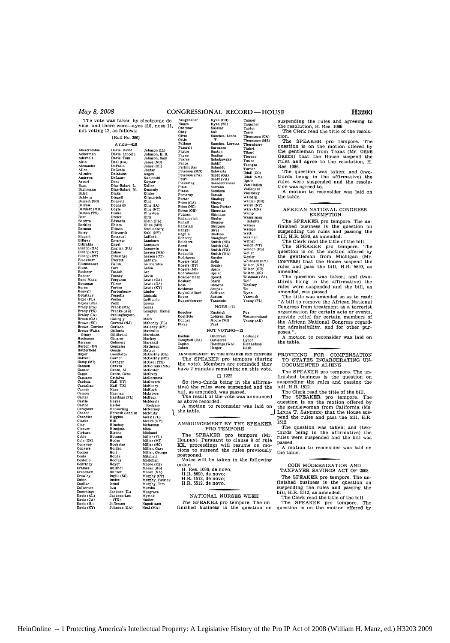## *May 8,* **2008 CONGRESSIONAL RECORD-HOUSE H3203**

 $\begin{tabular}{l|c|c|c|c} \hline \textbf{R} \textsc{m} & \textsc{Gaussian} & \textsc{Gaussian} & \textsc{Gaussian} & \textsc{Gaussian} & \textsc{Gaussian} & \textsc{Gaussian} & \textsc{Gaussian} & \textsc{Gaussian} & \textsc{Gaussian} & \textsc{Gaussian} & \textsc{Gaussian} & \textsc{Gaussian} & \textsc{Gaussian} & \textsc{Gaussian} & \textsc{Gaussian} & \textsc{Gaussian} & \textsc{Gaussian} & \textsc{Gaussian} & \textsc{Gaussian} & \textsc{Gaussian} & \textsc{Gaussian} & \textsc{Gaussian} & \textsc{Gaussian} & \textsc{$ Classical Homos Michain Homos Median (Wo-Classical Muchain Homos Michael PRO TEMPORE (The SPEAKER pro tempore (Mr. thris sing in the affirmative) the state of the SPEAKER pro tempore (Mr. 1991) and Michael Conservers and t

| The vote was taken by electronic de-    |                     |                            | Neugebauer<br><b>Nunes</b> | Ryan (OH)<br>Ryan (WI)           | Tanner<br>Tauscher                   | suspending the rules and agreeing to     |
|-----------------------------------------|---------------------|----------------------------|----------------------------|----------------------------------|--------------------------------------|------------------------------------------|
| vice, and there were-ayes 410, noes 11, |                     |                            | Oberstar                   | Salazar                          | Taylor                               | the resolution, H. Res. 1086.            |
| not voting 12, as follows:              |                     |                            | Obey                       | Sali                             | Terry                                | The Clerk read the title of the resolu-  |
|                                         | [Roll No. 300]      |                            | Olver<br>Ortiz             | Sanchez, Linda<br>T.             | Thompson (CA)<br>Thompson (MS)       | tion.<br>The SPEAKER pro tempore. The    |
| AYES-410                                |                     | Pallone                    | Sanchez, Loretta           | Thornberry                       | question is on the motion offered by |                                          |
| Abercrombie                             | Davis, David        | Johnson (IL)               | Pascrell<br>Pastor         | <b>Sarbanes</b><br><b>Saxton</b> | Tiahrt                               | the gentleman from Texas (Mr. GENE       |
| Ackerman                                | Davis, Lincoln      | Johnson, E. B.             | Payne                      | Scalise                          | Tiberi<br>Tierney                    | GREEN) that the House suspend the        |
| Aderholt                                | Davis, Tom          | Johnson, Sam               | Pearce                     | Schakowsky                       | Towns                                |                                          |
| Akin                                    | Deal (GA)           | Jones (NC)                 | Pence                      | Schiff                           | Tsongas                              | rules and agree to the resolution, H.    |
| Alexander                               | DeFazio             | Jones (OH)                 | Perlmutter                 | Schmidt                          | Turner                               | Res. 1086.                               |
| Allen<br>Altmire                        | DeGette             | Jordan                     | Peterson (MN)              | Schwartz                         | Udall (CO)                           | The question was taken; and (two-        |
| Andrews                                 | Delahunt<br>DeLauro | Kagen                      | Peterson (PA)              | Scott (GA)                       | Udall (NM)                           | thirds being in the affirmative) the     |
| Arcuri                                  | Dent                | Kanjorski<br>Kaptur        | Petri                      | Scott (VA)                       | Upton                                | rules were suspended and the resolu-     |
| Васа                                    | Diaz-Balart, L.     | Keller                     | Pickering                  | Sensenbrenner                    | Van Hollen                           |                                          |
| Bachmann                                | Diaz-Balart, M.     | Kennedy                    | Pitts                      | Serrano                          | Velázquez                            | tion was agreed to.                      |
| Baird                                   | Dicks               | Kildee                     | Platts                     | Sessions                         | Visclosky                            | A motion to reconsider was laid on       |
| Baldwin                                 | Dingell             | Kilpatrick                 | Pomeroy                    | Sestak                           | Walberg                              | the table.                               |
| Barrett (SC)                            | Doggett             | Kind                       | Porter                     | Shadegg                          | Walden (OR)                          |                                          |
| Barrow                                  | Donnelly            | King (IA)                  | Price (GA)<br>Price (NC)   | Shays<br>Shea-Porter             | Walsh (NY)                           |                                          |
| Bartlett (MD)                           | Doyle               | King (NY)                  | Pryce (OH)                 | Sherman                          | Walz (MN)                            | AFRICAN NATIONAL CONGRESS                |
| Barton (TX)                             | Drake               | Kingston                   | Putnam                     | Shimkus                          | Wamp                                 | <b>EXEMPTION</b>                         |
| Bean                                    | Dreier              | Kirk                       | Radanovich                 | Shuler                           | Wasserman                            |                                          |
| Becerra                                 | Edwards             | Klein (FL)                 | Rahall                     | Shuster                          | Schultz                              | The SPEAKER pro tempore. The un-         |
| Berkley                                 | Ehlers              | Kline (MN)                 | Ramstad                    | Simpson                          | Waters                               | finished business is the question on     |
| Berman                                  | Ellison             | Knollenberg                | Rangel                     | Síres                            | Watson                               | suspending the rules and passing the     |
| Berry                                   | Ellsworth           | Kuhl (NY)                  | Regula                     | Skelton                          | Watt                                 |                                          |
| Biggert                                 | Emanuel             | LaHood                     | Rehberg                    | Slaughter                        | Waxman                               | bill, H.R. 5690, as amended.             |
| Bilbray                                 | Emerson             | Lamborn                    | Reichert                   | Smith (NE)                       | Weiner                               | The Clerk read the title of the bill.    |
| <b>Bilirakis</b>                        | Engel               | Lampson                    | Renzi                      | Smith (NJ)                       | Welch (VT)                           | The SPEAKER pro tempore. The             |
| Bishop (GA)                             | English (PA)        | Langevin                   | Reyes                      | Smith (TX)                       | Weldon (FL)                          | question is on the motion offered by     |
| Bishop (NY)<br>Bishop (UT)              | Eshoo<br>Etheridge  | Larsen (WA)<br>Larson (CT) | Reynolds                   | Smith (WA)                       | Weller                               |                                          |
| Blackburn                               | Everett             | Latham                     | Rodriguez                  | Snyder                           | Wexler                               | the gentleman from Michigan (Mr.         |
| Blumenauer                              | Fallin              | LaTourette                 | Rogers (AL)                | Solis                            | Whitfield (KY)                       | CONYERS) that the House suspend the      |
| Blunt                                   | Farr                | Latta                      | Rogers (KY)                | Souder                           | Wilson (NM)                          | rules and pass the bill. H.R. 5690, as   |
| Boehner                                 | Fattah              | Lee                        | Rogers (MI)                | Space                            | Wilson (OH)                          | amended.                                 |
| Bonner                                  | Feeney              | Levin                      | Rohrabacher                | Speier                           | Wilson (SC)<br>Wittman (VA)          | The question was taken; and (two-        |
| Bono Mack                               | Ferguson            | Lewis (CA)                 | Ros-Lehtinen<br>Roskam     | Spratt<br>Stark                  | Wolf                                 |                                          |
| Boozman                                 | Filner              | Lewis (GA)                 | Ross                       | <b>Stearns</b>                   | Woolsey                              | thirds being in the affirmative) the     |
| Boren                                   | Forbes              | Lewis (KY)                 | Rothman                    | Stupak                           | Wu                                   | rules were suspended and the bill, as    |
| Boswell                                 | Fortenberry         | Linder                     | Rovbal-Allard              | Sullivan                         | Wynn                                 | amended, was passed.                     |
| Boustany                                | Fossella            | Lipinski                   | Royce                      | Sutton                           | Yarmuth                              | The title was amended so as to read:     |
| Boyd (FL)                               | Foster              | LoBiondo                   | Ruppersberger              | Tancredo                         | Young (FL)                           | "A bill to remove the African National   |
| Boyda (KS)                              | Foxx                | Lowey                      |                            |                                  |                                      |                                          |
| Brady (PA)                              | Frank (MA)          | Lucas                      |                            | $NOES-11$                        |                                      | Congress from treatment as a terrorist   |
| Brady (TX)                              | Franks (AZ)         | Lungren, Daniel            | Boucher                    | Kneinich                         | Pos                                  | organization for certain acts or events. |
| Braley (IA)                             | Frelinghuysen       | Е.                         | Doolittle                  | Lofgren, Zoe                     | Westmoreland                         | provide relief for certain members of    |
| Broun (GA)                              | Gallegly            | Mack                       | Duncan                     | Moore (WI)                       | Young (AK)                           | the African National Congress regard-    |
| Brown (SC)                              | Garrett (NJ)        | Mahoney (FL)               | Flake                      | Paul                             |                                      |                                          |
| Brown, Corrine<br>Brown-Waite.          | Gerlach<br>Giffords | Maloney (NY)<br>Manzullo   |                            | NOT VOTING-12                    |                                      | ing admissibility, and for other pur-    |
| Ginny                                   | Gillibrand          | Marchant                   |                            |                                  |                                      | poses.".                                 |
| Buchanan                                | Gingrey             | Markey                     | Bachus                     | Gilchrest                        | Loebsack                             | A motion to reconsider was laid on       |
| Burgess                                 | Gohmert             | Marshall                   | Campbell (CA)              | Gutierrez                        | Lynch                                | the table.                               |
| Burton (IN)                             | Gonzalez            | Matheson                   | Capito                     | Hastings (WA)                    | Richardson                           |                                          |
| <b>Dutterfield</b>                      | Coode.              | Mataut                     | Cohen                      | Herger                           | Rush                                 |                                          |

- 
- 

Chandler Higgins Meek (FL)<br>
Chandler Higgins Meek (FL)<br>
Chandler Higgins Meek (FL)<br>
Change Higgins Meek (FL)<br>
Change Higgins Meeks (PL)<br>
Change Higgins Meeks (PL)<br>
Change Higgins Meeks (PL)<br>
Change Higgins Meeks (PL)<br>
Chan

Costa<br>
Costa Hooda<br>
Costa Hooda<br>
Costa Hooda<br>
Countery Hoyte Michael Moore (KS)<br>
Countery Hoyte Moore (KS)<br>
Countery Hours<br>
Costa Moore Moore (KS)<br>
Costa Moore (KS)<br>
Costa Moore (KS)<br>
Costa Moore (KS)<br>
Costa Moore Moore (T Calinary and Marino and Marino and Marino and Marino and Marino and Marino and Marino and Marino and Marino and Marino and Marino and Marino and Marino and Marino and Marino and Marino and Marino and Marino and Marino and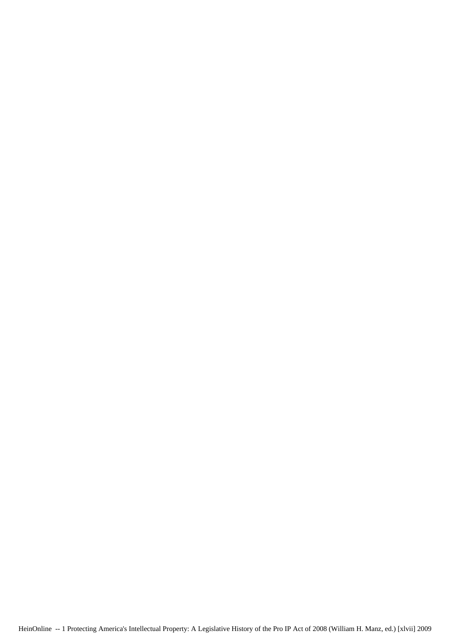HeinOnline -- 1 Protecting America's Intellectual Property: A Legislative History of the Pro IP Act of 2008 (William H. Manz, ed.) [xlvii] 2009